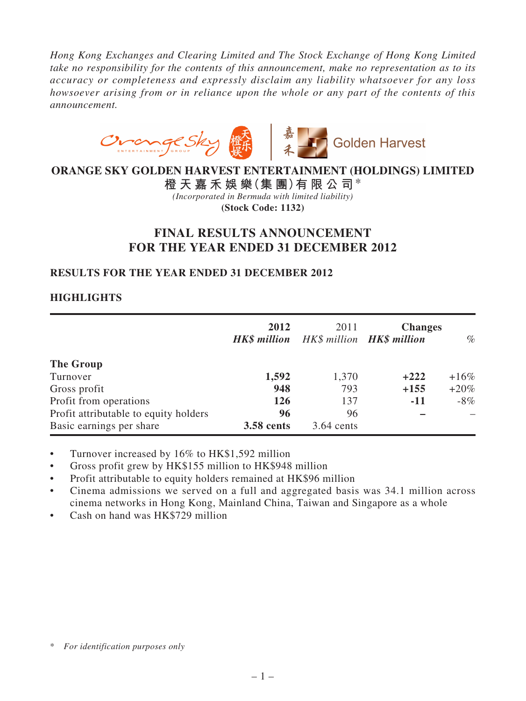*Hong Kong Exchanges and Clearing Limited and The Stock Exchange of Hong Kong Limited take no responsibility for the contents of this announcement, make no representation as to its accuracy or completeness and expressly disclaim any liability whatsoever for any loss howsoever arising from or in reliance upon the whole or any part of the contents of this announcement.*



# **ORANGE SKY GOLDEN HARVEST ENTERTAINMENT (HOLDINGS) LIMITED**

**橙 天 嘉 禾 娛 樂(集 團)有 限 公 司**\* *(Incorporated in Bermuda with limited liability)* **(Stock Code: 1132)**

# **FINAL RESULTS ANNOUNCEMENT FOR THE YEAR ENDED 31 DECEMBER 2012**

# **RESULTS FOR THE YEAR ENDED 31 DECEMBER 2012**

# **HIGHLIGHTS**

|                                       | 2012<br><b>HK\$</b> million | 2011<br>HK\$ million <b>HK\$ million</b> | <b>Changes</b> | $\%$    |
|---------------------------------------|-----------------------------|------------------------------------------|----------------|---------|
| The Group                             |                             |                                          |                |         |
| Turnover                              | 1,592                       | 1,370                                    | $+222$         | $+16\%$ |
| Gross profit                          | 948                         | 793                                      | $+155$         | $+20\%$ |
| Profit from operations                | <b>126</b>                  | 137                                      | $-11$          | $-8\%$  |
| Profit attributable to equity holders | 96                          | 96                                       |                |         |
| Basic earnings per share              | <b>3.58 cents</b>           | $3.64$ cents                             |                |         |

• Turnover increased by 16% to HK\$1,592 million

Gross profit grew by HK\$155 million to HK\$948 million

• Profit attributable to equity holders remained at HK\$96 million

- Cinema admissions we served on a full and aggregated basis was  $34.1$  million across cinema networks in Hong Kong, Mainland China, Taiwan and Singapore as a whole
- Cash on hand was HK\$729 million

<sup>\*</sup> *For identification purposes only*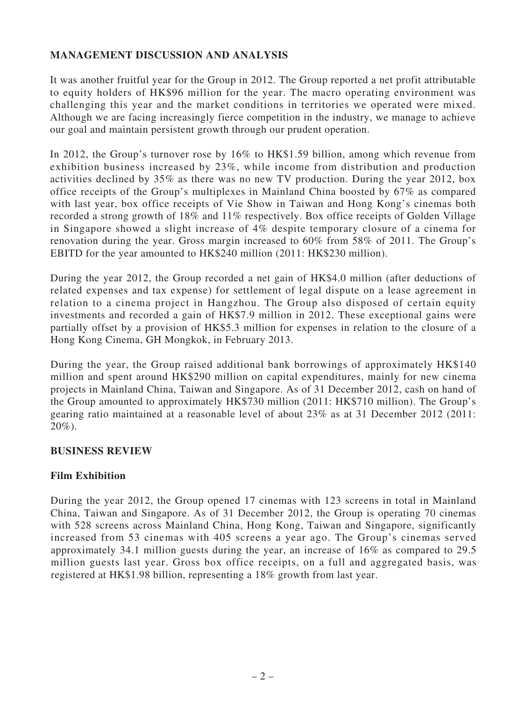# **Management Discussion and Analysis**

It was another fruitful year for the Group in 2012. The Group reported a net profit attributable to equity holders of HK\$96 million for the year. The macro operating environment was challenging this year and the market conditions in territories we operated were mixed. Although we are facing increasingly fierce competition in the industry, we manage to achieve our goal and maintain persistent growth through our prudent operation.

In 2012, the Group's turnover rose by 16% to HK\$1.59 billion, among which revenue from exhibition business increased by 23%, while income from distribution and production activities declined by 35% as there was no new TV production. During the year 2012, box office receipts of the Group's multiplexes in Mainland China boosted by 67% as compared with last year, box office receipts of Vie Show in Taiwan and Hong Kong's cinemas both recorded a strong growth of 18% and 11% respectively. Box office receipts of Golden Village in Singapore showed a slight increase of 4% despite temporary closure of a cinema for renovation during the year. Gross margin increased to 60% from 58% of 2011. The Group's EBITD for the year amounted to HK\$240 million (2011: HK\$230 million).

During the year 2012, the Group recorded a net gain of HK\$4.0 million (after deductions of related expenses and tax expense) for settlement of legal dispute on a lease agreement in relation to a cinema project in Hangzhou. The Group also disposed of certain equity investments and recorded a gain of HK\$7.9 million in 2012. These exceptional gains were partially offset by a provision of HK\$5.3 million for expenses in relation to the closure of a Hong Kong Cinema, GH Mongkok, in February 2013.

During the year, the Group raised additional bank borrowings of approximately HK\$140 million and spent around HK\$290 million on capital expenditures, mainly for new cinema projects in Mainland China, Taiwan and Singapore. As of 31 December 2012, cash on hand of the Group amounted to approximately HK\$730 million (2011: HK\$710 million). The Group's gearing ratio maintained at a reasonable level of about 23% as at 31 December 2012 (2011: 20%).

## **BUSINESS REVIEW**

## **Film Exhibition**

During the year 2012, the Group opened 17 cinemas with 123 screens in total in Mainland China, Taiwan and Singapore. As of 31 December 2012, the Group is operating 70 cinemas with 528 screens across Mainland China, Hong Kong, Taiwan and Singapore, significantly increased from 53 cinemas with 405 screens a year ago. The Group's cinemas served approximately 34.1 million guests during the year, an increase of 16% as compared to 29.5 million guests last year. Gross box office receipts, on a full and aggregated basis, was registered at HK\$1.98 billion, representing a 18% growth from last year.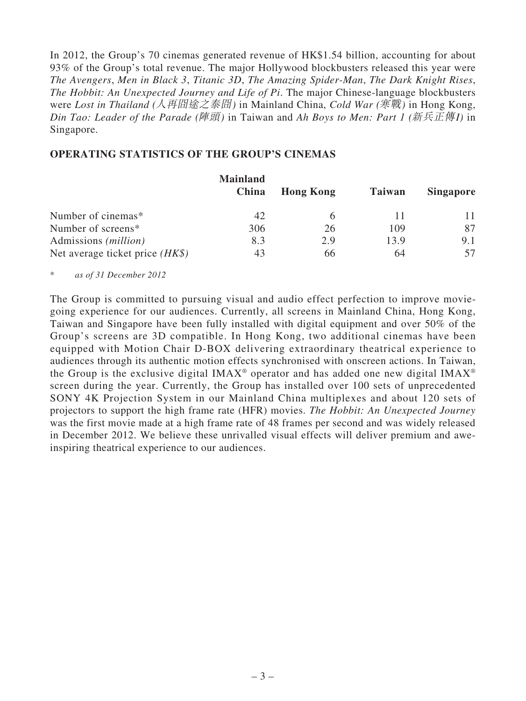In 2012, the Group's 70 cinemas generated revenue of HK\$1.54 billion, accounting for about 93% of the Group's total revenue. The major Hollywood blockbusters released this year were *The Avengers*, *Men in Black 3*, *Titanic 3D*, *The Amazing Spider-Man*, *The Dark Knight Rises*, *The Hobbit: An Unexpected Journey and Life of Pi*. The major Chinese-language blockbusters were *Lost in Thailand (*人再囧途之泰囧*)* in Mainland China, *Cold War (*寒戰*)* in Hong Kong, *Din Tao: Leader of the Parade (*陣頭*)* in Taiwan and *Ah Boys to Men: Part 1 (*新兵正傳*I)* in Singapore.

### **OPERATING STATISTICS OF THE GROUP'S CINEMAS**

|                                   | <b>Mainland</b><br>China | <b>Hong Kong</b> | <b>Taiwan</b> | <b>Singapore</b> |
|-----------------------------------|--------------------------|------------------|---------------|------------------|
| Number of cinemas*                | 42                       | h                |               |                  |
| Number of screens*                | 306                      | 26               | 109           | 87               |
| Admissions ( <i>million</i> )     | 8.3                      | 2.9              | 13.9          | 9.1              |
| Net average ticket price $(HK\$ ) | 43                       | 66               | 64            | 57               |

\* *as of 31 December 2012*

The Group is committed to pursuing visual and audio effect perfection to improve moviegoing experience for our audiences. Currently, all screens in Mainland China, Hong Kong, Taiwan and Singapore have been fully installed with digital equipment and over 50% of the Group's screens are 3D compatible. In Hong Kong, two additional cinemas have been equipped with Motion Chair D-BOX delivering extraordinary theatrical experience to audiences through its authentic motion effects synchronised with onscreen actions. In Taiwan, the Group is the exclusive digital IMAX<sup>®</sup> operator and has added one new digital IMAX<sup>®</sup> screen during the year. Currently, the Group has installed over 100 sets of unprecedented SONY 4K Projection System in our Mainland China multiplexes and about 120 sets of projectors to support the high frame rate (HFR) movies. *The Hobbit: An Unexpected Journey*  was the first movie made at a high frame rate of 48 frames per second and was widely released in December 2012. We believe these unrivalled visual effects will deliver premium and aweinspiring theatrical experience to our audiences.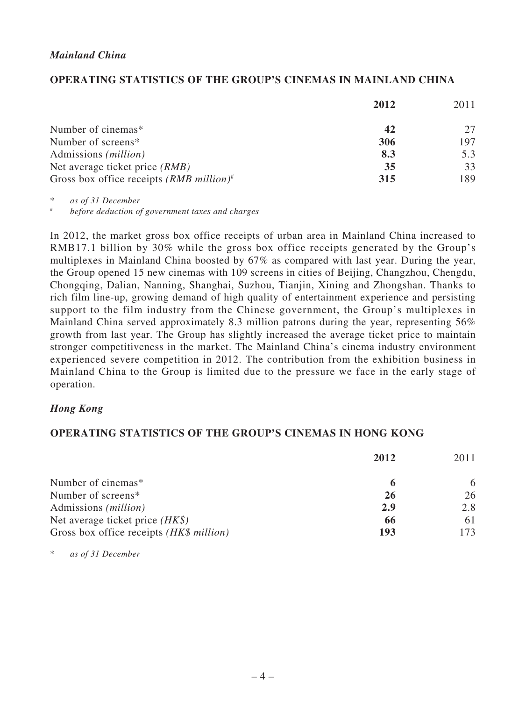## *Mainland China*

## **OPERATING STATISTICS OF THE GROUP'S CINEMAS IN MAINLAND CHINA**

|                                                        | 2012 | 2011 |
|--------------------------------------------------------|------|------|
| Number of cinemas*                                     | 42   |      |
| Number of screens*                                     | 306  | 197  |
| Admissions ( <i>million</i> )                          | 8.3  | 5.3  |
| Net average ticket price <i>(RMB)</i>                  | 35   | 33   |
| Gross box office receipts $(RMB$ million) <sup>#</sup> | 315  | 189  |

\* *as of 31 December*

# *before deduction of government taxes and charges*

In 2012, the market gross box office receipts of urban area in Mainland China increased to RMB17.1 billion by 30% while the gross box office receipts generated by the Group's multiplexes in Mainland China boosted by 67% as compared with last year. During the year, the Group opened 15 new cinemas with 109 screens in cities of Beijing, Changzhou, Chengdu, Chongqing, Dalian, Nanning, Shanghai, Suzhou, Tianjin, Xining and Zhongshan. Thanks to rich film line-up, growing demand of high quality of entertainment experience and persisting support to the film industry from the Chinese government, the Group's multiplexes in Mainland China served approximately 8.3 million patrons during the year, representing 56% growth from last year. The Group has slightly increased the average ticket price to maintain stronger competitiveness in the market. The Mainland China's cinema industry environment experienced severe competition in 2012. The contribution from the exhibition business in Mainland China to the Group is limited due to the pressure we face in the early stage of operation.

## *Hong Kong*

## **OPERATING STATISTICS OF THE GROUP'S CINEMAS IN HONG KONG**

|                                          | 2012 | 2011 |
|------------------------------------------|------|------|
| Number of cinemas*                       | 6    | 6    |
| Number of screens*                       | 26   | 26   |
| Admissions ( <i>million</i> )            | 2.9  | 2.8  |
| Net average ticket price $(HK\$ )        | 66   |      |
| Gross box office receipts (HK\$ million) | 193  | 173  |

\* *as of 31 December*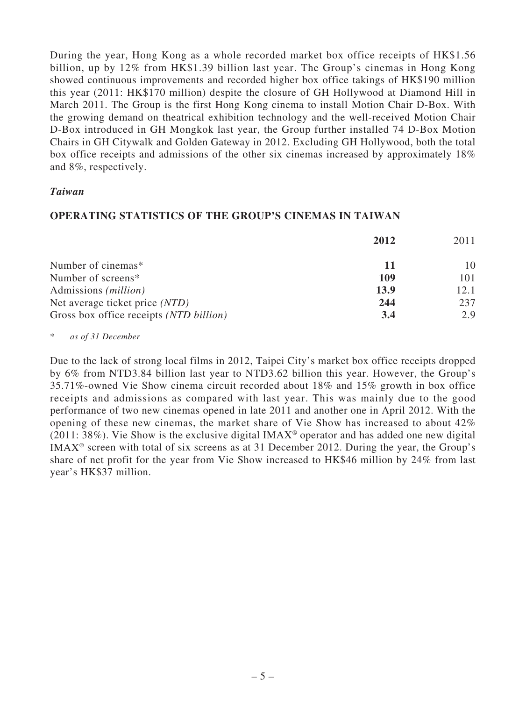During the year, Hong Kong as a whole recorded market box office receipts of HK\$1.56 billion, up by 12% from HK\$1.39 billion last year. The Group's cinemas in Hong Kong showed continuous improvements and recorded higher box office takings of HK\$190 million this year (2011: HK\$170 million) despite the closure of GH Hollywood at Diamond Hill in March 2011. The Group is the first Hong Kong cinema to install Motion Chair D-Box. With the growing demand on theatrical exhibition technology and the well-received Motion Chair D-Box introduced in GH Mongkok last year, the Group further installed 74 D-Box Motion Chairs in GH Citywalk and Golden Gateway in 2012. Excluding GH Hollywood, both the total box office receipts and admissions of the other six cinemas increased by approximately 18% and 8%, respectively.

## *Taiwan*

### **OPERATING STATISTICS OF THE GROUP'S CINEMAS IN TAIWAN**

|                                         | 2012 | 2011 |
|-----------------------------------------|------|------|
| Number of cinemas*                      | п    | 10   |
| Number of screens*                      | 109  | 101  |
| Admissions ( <i>million</i> )           | 13.9 | 12.1 |
| Net average ticket price (NTD)          | 244  | 237  |
| Gross box office receipts (NTD billion) | 3.4  | 2.9  |

as of 31 December

Due to the lack of strong local films in 2012, Taipei City's market box office receipts dropped by 6% from NTD3.84 billion last year to NTD3.62 billion this year. However, the Group's 35.71%-owned Vie Show cinema circuit recorded about 18% and 15% growth in box office receipts and admissions as compared with last year. This was mainly due to the good performance of two new cinemas opened in late 2011 and another one in April 2012. With the opening of these new cinemas, the market share of Vie Show has increased to about 42%  $(2011: 38\%)$ . Vie Show is the exclusive digital IMAX<sup>®</sup> operator and has added one new digital IMAX® screen with total of six screens as at 31 December 2012. During the year, the Group's share of net profit for the year from Vie Show increased to HK\$46 million by 24% from last year's HK\$37 million.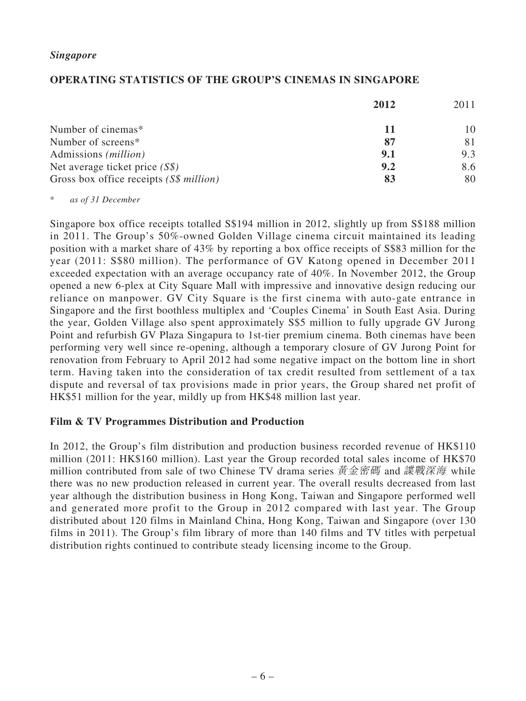### *Singapore*

## **OPERATING STATISTICS OF THE GROUP'S CINEMAS IN SINGAPORE**

|                                         | 2012 | 2011 |
|-----------------------------------------|------|------|
| Number of cinemas*                      | 11   | 10   |
| Number of screens*                      | 87   | 81   |
| Admissions ( <i>million</i> )           | 9.1  | 9.3  |
| Net average ticket price $(S\$ )        | 9.2  | 8.6  |
| Gross box office receipts (S\$ million) | 83   | 80   |

\* *as of 31 December*

Singapore box office receipts totalled S\$194 million in 2012, slightly up from S\$188 million in 2011. The Group's 50%-owned Golden Village cinema circuit maintained its leading position with a market share of 43% by reporting a box office receipts of S\$83 million for the year (2011: S\$80 million). The performance of GV Katong opened in December 2011 exceeded expectation with an average occupancy rate of 40%. In November 2012, the Group opened a new 6-plex at City Square Mall with impressive and innovative design reducing our reliance on manpower. GV City Square is the first cinema with auto-gate entrance in Singapore and the first boothless multiplex and 'Couples Cinema' in South East Asia. During the year, Golden Village also spent approximately S\$5 million to fully upgrade GV Jurong Point and refurbish GV Plaza Singapura to 1st-tier premium cinema. Both cinemas have been performing very well since re-opening, although a temporary closure of GV Jurong Point for renovation from February to April 2012 had some negative impact on the bottom line in short term. Having taken into the consideration of tax credit resulted from settlement of a tax dispute and reversal of tax provisions made in prior years, the Group shared net profit of HK\$51 million for the year, mildly up from HK\$48 million last year.

## **Film & TV Programmes Distribution and Production**

In 2012, the Group's film distribution and production business recorded revenue of HK\$110 million (2011: HK\$160 million). Last year the Group recorded total sales income of HK\$70 million contributed from sale of two Chinese TV drama series 黃金密碼 and 諜戰深海 while there was no new production released in current year. The overall results decreased from last year although the distribution business in Hong Kong, Taiwan and Singapore performed well and generated more profit to the Group in 2012 compared with last year. The Group distributed about 120 films in Mainland China, Hong Kong, Taiwan and Singapore (over 130 films in 2011). The Group's film library of more than 140 films and TV titles with perpetual distribution rights continued to contribute steady licensing income to the Group.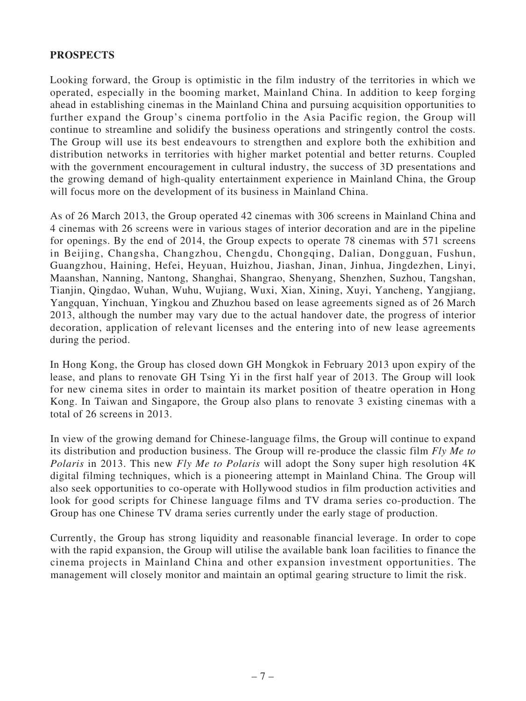## **PROSPECTS**

Looking forward, the Group is optimistic in the film industry of the territories in which we operated, especially in the booming market, Mainland China. In addition to keep forging ahead in establishing cinemas in the Mainland China and pursuing acquisition opportunities to further expand the Group's cinema portfolio in the Asia Pacific region, the Group will continue to streamline and solidify the business operations and stringently control the costs. The Group will use its best endeavours to strengthen and explore both the exhibition and distribution networks in territories with higher market potential and better returns. Coupled with the government encouragement in cultural industry, the success of 3D presentations and the growing demand of high-quality entertainment experience in Mainland China, the Group will focus more on the development of its business in Mainland China.

As of 26 March 2013, the Group operated 42 cinemas with 306 screens in Mainland China and 4 cinemas with 26 screens were in various stages of interior decoration and are in the pipeline for openings. By the end of 2014, the Group expects to operate 78 cinemas with 571 screens in Beijing, Changsha, Changzhou, Chengdu, Chongqing, Dalian, Dongguan, Fushun, Guangzhou, Haining, Hefei, Heyuan, Huizhou, Jiashan, Jinan, Jinhua, Jingdezhen, Linyi, Maanshan, Nanning, Nantong, Shanghai, Shangrao, Shenyang, Shenzhen, Suzhou, Tangshan, Tianjin, Qingdao, Wuhan, Wuhu, Wujiang, Wuxi, Xian, Xining, Xuyi, Yancheng, Yangjiang, Yangquan, Yinchuan, Yingkou and Zhuzhou based on lease agreements signed as of 26 March 2013, although the number may vary due to the actual handover date, the progress of interior decoration, application of relevant licenses and the entering into of new lease agreements during the period.

In Hong Kong, the Group has closed down GH Mongkok in February 2013 upon expiry of the lease, and plans to renovate GH Tsing Yi in the first half year of 2013. The Group will look for new cinema sites in order to maintain its market position of theatre operation in Hong Kong. In Taiwan and Singapore, the Group also plans to renovate 3 existing cinemas with a total of 26 screens in 2013.

In view of the growing demand for Chinese-language films, the Group will continue to expand its distribution and production business. The Group will re-produce the classic film *Fly Me to Polaris* in 2013. This new *Fly Me to Polaris* will adopt the Sony super high resolution 4K digital filming techniques, which is a pioneering attempt in Mainland China. The Group will also seek opportunities to co-operate with Hollywood studios in film production activities and look for good scripts for Chinese language films and TV drama series co-production. The Group has one Chinese TV drama series currently under the early stage of production.

Currently, the Group has strong liquidity and reasonable financial leverage. In order to cope with the rapid expansion, the Group will utilise the available bank loan facilities to finance the cinema projects in Mainland China and other expansion investment opportunities. The management will closely monitor and maintain an optimal gearing structure to limit the risk.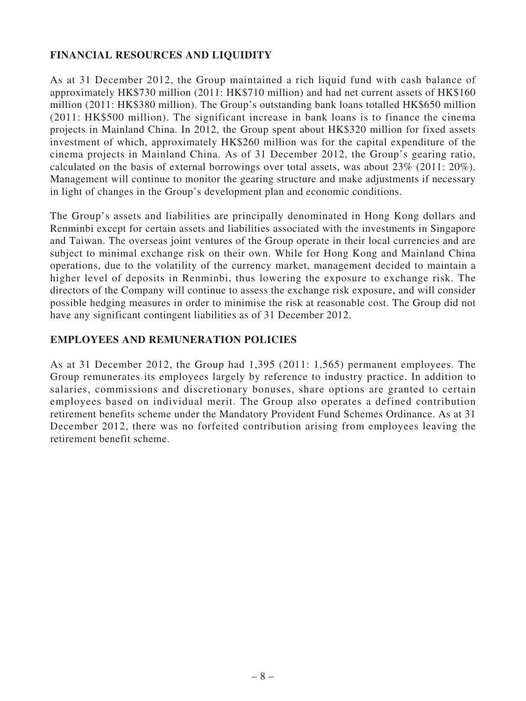# **FINANCIAL RESOURCES AND LIQUIDITY**

As at 31 December 2012, the Group maintained a rich liquid fund with cash balance of approximately HK\$730 million (2011: HK\$710 million) and had net current assets of HK\$160 million (2011: HK\$380 million). The Group's outstanding bank loans totalled HK\$650 million (2011: HK\$500 million). The significant increase in bank loans is to finance the cinema projects in Mainland China. In 2012, the Group spent about HK\$320 million for fixed assets investment of which, approximately HK\$260 million was for the capital expenditure of the cinema projects in Mainland China. As of 31 December 2012, the Group's gearing ratio, calculated on the basis of external borrowings over total assets, was about 23% (2011: 20%). Management will continue to monitor the gearing structure and make adjustments if necessary in light of changes in the Group's development plan and economic conditions.

The Group's assets and liabilities are principally denominated in Hong Kong dollars and Renminbi except for certain assets and liabilities associated with the investments in Singapore and Taiwan. The overseas joint ventures of the Group operate in their local currencies and are subject to minimal exchange risk on their own. While for Hong Kong and Mainland China operations, due to the volatility of the currency market, management decided to maintain a higher level of deposits in Renminbi, thus lowering the exposure to exchange risk. The directors of the Company will continue to assess the exchange risk exposure, and will consider possible hedging measures in order to minimise the risk at reasonable cost. The Group did not have any significant contingent liabilities as of 31 December 2012.

## **EMPLOYEES AND REMUNERATION POLICIES**

As at 31 December 2012, the Group had 1,395 (2011: 1,565) permanent employees. The Group remunerates its employees largely by reference to industry practice. In addition to salaries, commissions and discretionary bonuses, share options are granted to certain employees based on individual merit. The Group also operates a defined contribution retirement benefits scheme under the Mandatory Provident Fund Schemes Ordinance. As at 31 December 2012, there was no forfeited contribution arising from employees leaving the retirement benefit scheme.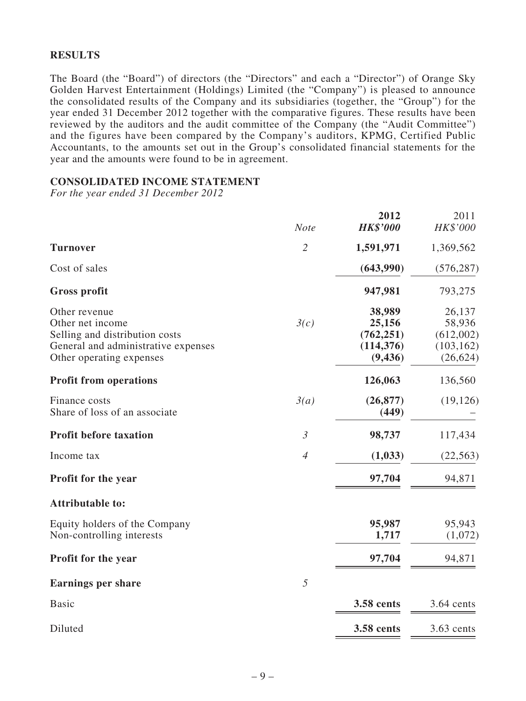## **RESULTS**

The Board (the "Board") of directors (the "Directors" and each a "Director") of Orange Sky Golden Harvest Entertainment (Holdings) Limited (the "Company") is pleased to announce the consolidated results of the Company and its subsidiaries (together, the "Group") for the year ended 31 December 2012 together with the comparative figures. These results have been reviewed by the auditors and the audit committee of the Company (the "Audit Committee") and the figures have been compared by the Company's auditors, KPMG, Certified Public Accountants, to the amounts set out in the Group's consolidated financial statements for the year and the amounts were found to be in agreement.

### **CONSOLIDATED INCOME STATEMENT**

*For the year ended 31 December 2012*

|                                                                                                                                        | <b>Note</b>    | 2012<br><b>HK\$'000</b>                                  | 2011<br>HK\$'000                                         |
|----------------------------------------------------------------------------------------------------------------------------------------|----------------|----------------------------------------------------------|----------------------------------------------------------|
| <b>Turnover</b>                                                                                                                        | $\overline{2}$ | 1,591,971                                                | 1,369,562                                                |
| Cost of sales                                                                                                                          |                | (643,990)                                                | (576, 287)                                               |
| <b>Gross profit</b>                                                                                                                    |                | 947,981                                                  | 793,275                                                  |
| Other revenue<br>Other net income<br>Selling and distribution costs<br>General and administrative expenses<br>Other operating expenses | 3(c)           | 38,989<br>25,156<br>(762, 251)<br>(114, 376)<br>(9, 436) | 26,137<br>58,936<br>(612,002)<br>(103, 162)<br>(26, 624) |
| <b>Profit from operations</b>                                                                                                          |                | 126,063                                                  | 136,560                                                  |
| Finance costs<br>Share of loss of an associate                                                                                         | 3(a)           | (26, 877)<br>(449)                                       | (19, 126)                                                |
| <b>Profit before taxation</b>                                                                                                          | $\mathfrak{Z}$ | 98,737                                                   | 117,434                                                  |
| Income tax                                                                                                                             | $\overline{4}$ | (1,033)                                                  | (22, 563)                                                |
| <b>Profit for the year</b>                                                                                                             |                | 97,704                                                   | 94,871                                                   |
| <b>Attributable to:</b>                                                                                                                |                |                                                          |                                                          |
| Equity holders of the Company<br>Non-controlling interests                                                                             |                | 95,987<br>1,717                                          | 95,943<br>(1,072)                                        |
| Profit for the year                                                                                                                    |                | 97,704                                                   | 94,871                                                   |
| <b>Earnings per share</b>                                                                                                              | 5              |                                                          |                                                          |
| <b>Basic</b>                                                                                                                           |                | 3.58 cents                                               | 3.64 cents                                               |
| Diluted                                                                                                                                |                | <b>3.58 cents</b>                                        | $3.63$ cents                                             |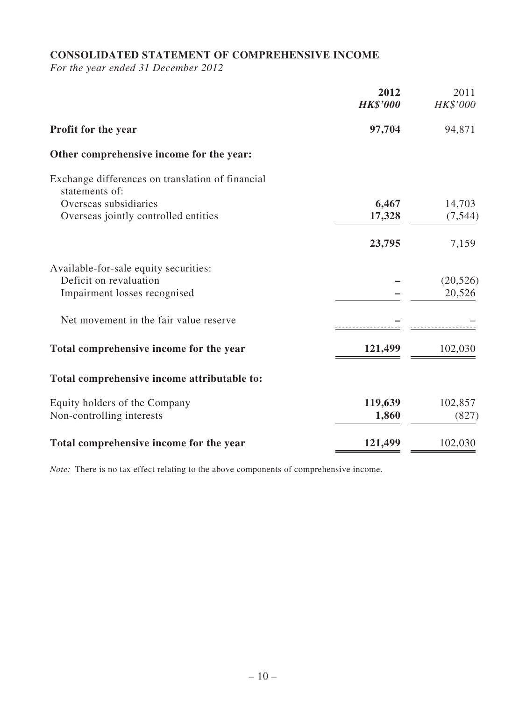# **CONSOLIDATED STATEMENT OF COMPREHENSIVE INCOME**

*For the year ended 31 December 2012*

|                                                                    | 2012<br><b>HK\$'000</b> | 2011<br>HK\$'000 |
|--------------------------------------------------------------------|-------------------------|------------------|
| Profit for the year                                                | 97,704                  | 94,871           |
| Other comprehensive income for the year:                           |                         |                  |
| Exchange differences on translation of financial<br>statements of: |                         |                  |
| Overseas subsidiaries                                              | 6,467                   | 14,703           |
| Overseas jointly controlled entities                               | 17,328                  | (7, 544)         |
|                                                                    | 23,795                  | 7,159            |
| Available-for-sale equity securities:                              |                         |                  |
| Deficit on revaluation                                             |                         | (20, 526)        |
| Impairment losses recognised                                       |                         | 20,526           |
| Net movement in the fair value reserve                             |                         |                  |
| Total comprehensive income for the year                            | 121,499                 | 102,030          |
| Total comprehensive income attributable to:                        |                         |                  |
| Equity holders of the Company                                      | 119,639                 | 102,857          |
| Non-controlling interests                                          | 1,860                   | (827)            |
| Total comprehensive income for the year                            | 121,499                 | 102,030          |

*Note:* There is no tax effect relating to the above components of comprehensive income.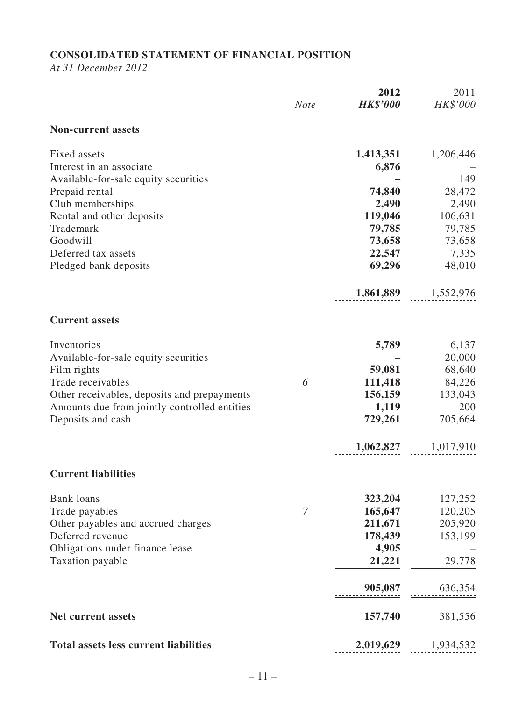# **CONSOLIDATED STATEMENT OF FINANCIAL POSITION**

*At 31 December 2012*

|                                              | <b>Note</b> | 2012<br><b>HK\$'000</b> | 2011<br>HK\$'000 |
|----------------------------------------------|-------------|-------------------------|------------------|
| <b>Non-current assets</b>                    |             |                         |                  |
| Fixed assets<br>Interest in an associate     |             | 1,413,351<br>6,876      | 1,206,446        |
| Available-for-sale equity securities         |             |                         | 149              |
| Prepaid rental                               |             | 74,840                  | 28,472           |
| Club memberships                             |             | 2,490                   | 2,490            |
| Rental and other deposits                    |             | 119,046                 | 106,631          |
| Trademark                                    |             | 79,785                  | 79,785           |
| Goodwill                                     |             | 73,658                  | 73,658           |
| Deferred tax assets                          |             | 22,547                  | 7,335            |
| Pledged bank deposits                        |             | 69,296                  | 48,010           |
|                                              |             | 1,861,889               | 1,552,976        |
| <b>Current assets</b>                        |             |                         |                  |
| Inventories                                  |             | 5,789                   | 6,137            |
| Available-for-sale equity securities         |             |                         | 20,000           |
| Film rights                                  |             | 59,081                  | 68,640           |
| Trade receivables                            | 6           | 111,418                 | 84,226           |
| Other receivables, deposits and prepayments  |             | 156,159                 | 133,043          |
| Amounts due from jointly controlled entities |             | 1,119                   | 200              |
| Deposits and cash                            |             | 729,261                 | 705,664          |
|                                              |             | 1,062,827               | 1,017,910        |
| <b>Current liabilities</b>                   |             |                         |                  |
| <b>Bank</b> loans                            |             | 323,204                 | 127,252          |
| Trade payables                               | 7           | 165,647                 | 120,205          |
| Other payables and accrued charges           |             | 211,671                 | 205,920          |
| Deferred revenue                             |             | 178,439                 | 153,199          |
| Obligations under finance lease              |             | 4,905                   |                  |
| Taxation payable                             |             | 21,221                  | 29,778           |
|                                              |             | 905,087                 | 636,354          |
| <b>Net current assets</b>                    |             | 157,740                 | 381,556          |
| <b>Total assets less current liabilities</b> |             | 2,019,629               | 1,934,532        |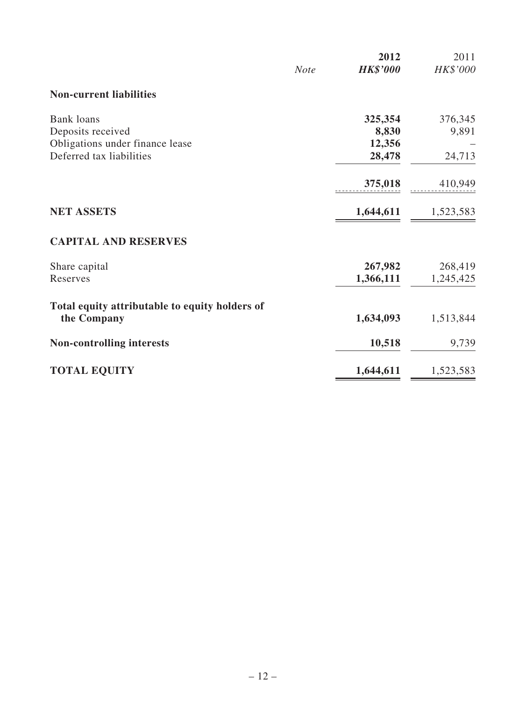|                                                             | <b>Note</b> | 2012<br><b>HK\$'000</b> | 2011<br>HK\$'000 |
|-------------------------------------------------------------|-------------|-------------------------|------------------|
| <b>Non-current liabilities</b>                              |             |                         |                  |
| <b>Bank loans</b>                                           |             | 325,354                 | 376,345          |
| Deposits received                                           |             | 8,830                   | 9,891            |
| Obligations under finance lease<br>Deferred tax liabilities |             | 12,356<br>28,478        | 24,713           |
|                                                             |             | 375,018                 | 410,949          |
| <b>NET ASSETS</b>                                           |             | 1,644,611               | 1,523,583        |
| <b>CAPITAL AND RESERVES</b>                                 |             |                         |                  |
| Share capital                                               |             | 267,982                 | 268,419          |
| Reserves                                                    |             | 1,366,111               | 1,245,425        |
| Total equity attributable to equity holders of              |             |                         |                  |
| the Company                                                 |             | 1,634,093               | 1,513,844        |
| <b>Non-controlling interests</b>                            |             | 10,518                  | 9,739            |
| <b>TOTAL EQUITY</b>                                         |             | 1,644,611               | 1,523,583        |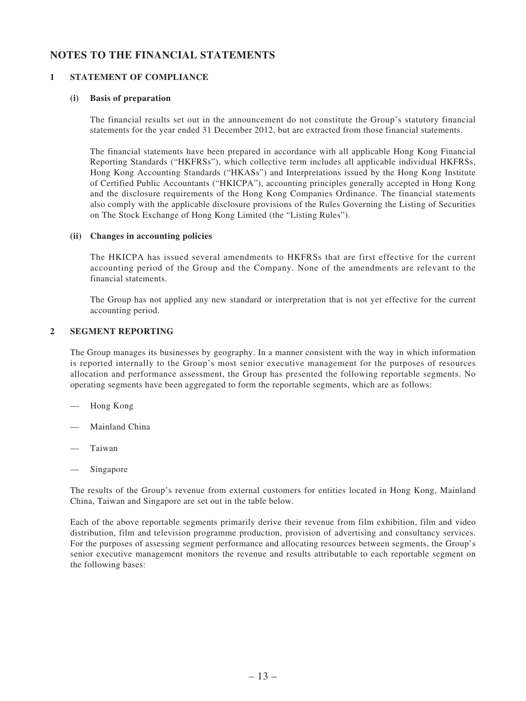## **NOTES TO THE FINANCIAL STATEMENTS**

### **1 STATEMENT OF COMPLIANCE**

#### **(i) Basis of preparation**

The financial results set out in the announcement do not constitute the Group's statutory financial statements for the year ended 31 December 2012, but are extracted from those financial statements.

The financial statements have been prepared in accordance with all applicable Hong Kong Financial Reporting Standards ("HKFRSs"), which collective term includes all applicable individual HKFRSs, Hong Kong Accounting Standards ("HKASs") and Interpretations issued by the Hong Kong Institute of Certified Public Accountants ("HKICPA"), accounting principles generally accepted in Hong Kong and the disclosure requirements of the Hong Kong Companies Ordinance. The financial statements also comply with the applicable disclosure provisions of the Rules Governing the Listing of Securities on The Stock Exchange of Hong Kong Limited (the "Listing Rules").

#### **(ii) Changes in accounting policies**

The HKICPA has issued several amendments to HKFRSs that are first effective for the current accounting period of the Group and the Company. None of the amendments are relevant to the financial statements.

The Group has not applied any new standard or interpretation that is not yet effective for the current accounting period.

#### **2 SEGMENT REPORTING**

The Group manages its businesses by geography. In a manner consistent with the way in which information is reported internally to the Group's most senior executive management for the purposes of resources allocation and performance assessment, the Group has presented the following reportable segments. No operating segments have been aggregated to form the reportable segments, which are as follows:

- Hong Kong
- Mainland China
- **Taiwan**
- — Singapore

The results of the Group's revenue from external customers for entities located in Hong Kong, Mainland China, Taiwan and Singapore are set out in the table below.

Each of the above reportable segments primarily derive their revenue from film exhibition, film and video distribution, film and television programme production, provision of advertising and consultancy services. For the purposes of assessing segment performance and allocating resources between segments, the Group's senior executive management monitors the revenue and results attributable to each reportable segment on the following bases: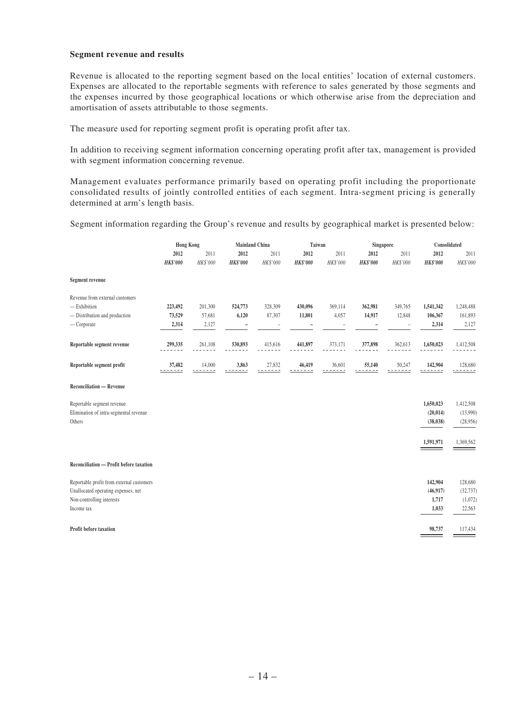#### **Segment revenue and results**

Revenue is allocated to the reporting segment based on the local entities' location of external customers. Expenses are allocated to the reportable segments with reference to sales generated by those segments and the expenses incurred by those geographical locations or which otherwise arise from the depreciation and amortisation of assets attributable to those segments.

The measure used for reporting segment profit is operating profit after tax.

In addition to receiving segment information concerning operating profit after tax, management is provided with segment information concerning revenue.

Management evaluates performance primarily based on operating profit including the proportionate consolidated results of jointly controlled entities of each segment. Intra-segment pricing is generally determined at arm's length basis.

Segment information regarding the Group's revenue and results by geographical market is presented below:

|                                           | <b>Hong Kong</b>        |                  | <b>Mainland China</b>   |                  | Taiwan                  |                  |                         | Singapore        |                         | Consolidated                   |  |
|-------------------------------------------|-------------------------|------------------|-------------------------|------------------|-------------------------|------------------|-------------------------|------------------|-------------------------|--------------------------------|--|
|                                           | 2012<br><b>HK\$'000</b> | 2011<br>HK\$'000 | 2012<br><b>HK\$'000</b> | 2011<br>HK\$'000 | 2012<br><b>HK\$'000</b> | 2011<br>HK\$'000 | 2012<br><b>HK\$'000</b> | 2011<br>HK\$'000 | 2012<br><b>HK\$'000</b> | 2011<br>HK\$'000               |  |
| Segment revenue                           |                         |                  |                         |                  |                         |                  |                         |                  |                         |                                |  |
| Revenue from external customers           |                         |                  |                         |                  |                         |                  |                         |                  |                         |                                |  |
| $-$ Exhibition                            | 223,492                 | 201,300          | 524,773                 | 328,309          | 430,096                 | 369,114          | 362,981                 | 349,765          | 1,541,342               | 1,248,488                      |  |
| - Distribution and production             | 73,529                  | 57,681           | 6,120                   | 87,307           | 11,801                  | 4,057            | 14,917                  | 12,848           | 106,367                 | 161,893                        |  |
| $-$ Corporate                             | 2,314                   | 2,127            | $\overline{a}$          |                  |                         |                  |                         | ÷,               | 2,314                   | 2,127                          |  |
| Reportable segment revenue                | 299,335                 | 261,108          | 530,893                 | 415,616          | 441,897                 | 373,171          | 377,898                 | 362,613          | 1,650,023               | 1,412,508                      |  |
| Reportable segment profit                 | 37,482<br>-------       | 14,000<br>.      | 3,863<br>$- - - - - -$  | 27,832<br>.      | 46,419<br>------        | 36,601<br>------ | 55,140<br>.             | 50,247<br>------ | 142,904<br>-------      | 128,680<br><u> - - - - - -</u> |  |
| <b>Reconciliation - Revenue</b>           |                         |                  |                         |                  |                         |                  |                         |                  |                         |                                |  |
| Reportable segment revenue                |                         |                  |                         |                  |                         |                  |                         |                  | 1,650,023               | 1,412,508                      |  |
| Elimination of intra-segmental revenue    |                         |                  |                         |                  |                         |                  |                         |                  | (20, 014)               | (13,990)                       |  |
| Others                                    |                         |                  |                         |                  |                         |                  |                         |                  | (38, 038)               | (28,956)                       |  |
|                                           |                         |                  |                         |                  |                         |                  |                         |                  |                         |                                |  |
|                                           |                         |                  |                         |                  |                         |                  |                         |                  | 1,591,971               | 1,369,562                      |  |
| Reconciliation - Profit before taxation   |                         |                  |                         |                  |                         |                  |                         |                  |                         |                                |  |
| Reportable profit from external customers |                         |                  |                         |                  |                         |                  |                         |                  | 142,904                 | 128,680                        |  |
| Unallocated operating expenses, net       |                         |                  |                         |                  |                         |                  |                         |                  | (46, 917)               | (32, 737)                      |  |
| Non-controlling interests                 |                         |                  |                         |                  |                         |                  |                         |                  | 1,717                   | (1,072)                        |  |
| Income tax                                |                         |                  |                         |                  |                         |                  |                         |                  | 1,033                   | 22,563                         |  |
| <b>Profit before taxation</b>             |                         |                  |                         |                  |                         |                  |                         |                  | 98,737                  | 117,434                        |  |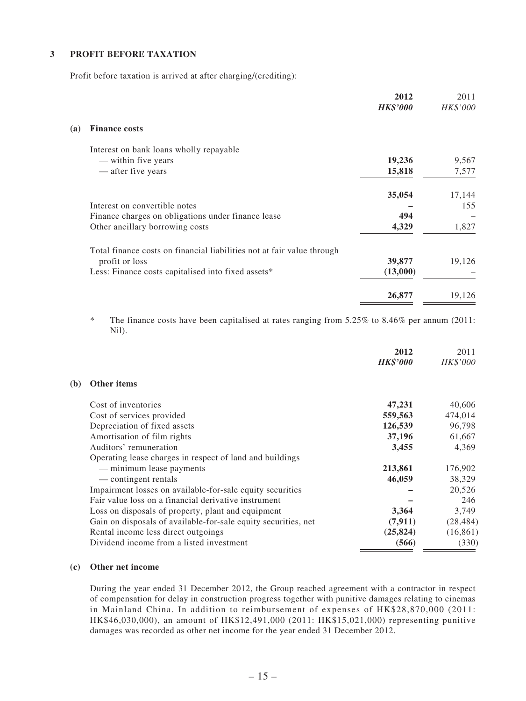### **3 PROFIT BEFORE TAXATION**

Profit before taxation is arrived at after charging/(crediting):

|     |                                                                        | 2012<br><b>HK\$'000</b> | 2011<br>HK\$'000 |
|-----|------------------------------------------------------------------------|-------------------------|------------------|
| (a) | <b>Finance costs</b>                                                   |                         |                  |
|     | Interest on bank loans wholly repayable                                |                         |                  |
|     | — within five years                                                    | 19,236                  | 9,567            |
|     | — after five years                                                     | 15,818                  | 7,577            |
|     |                                                                        | 35,054                  | 17,144           |
|     | Interest on convertible notes                                          |                         | 155              |
|     | Finance charges on obligations under finance lease                     | 494                     |                  |
|     | Other ancillary borrowing costs                                        | 4,329                   | 1,827            |
|     | Total finance costs on financial liabilities not at fair value through |                         |                  |
|     | profit or loss                                                         | 39,877                  | 19,126           |
|     | Less: Finance costs capitalised into fixed assets*                     | (13,000)                |                  |
|     |                                                                        | 26,877                  | 19,126           |

\* The finance costs have been capitalised at rates ranging from 5.25% to 8.46% per annum (2011: Nil).

|     |                                                                | 2012            | 2011            |
|-----|----------------------------------------------------------------|-----------------|-----------------|
|     |                                                                | <b>HK\$'000</b> | <b>HK\$'000</b> |
| (b) | Other items                                                    |                 |                 |
|     | Cost of inventories                                            | 47,231          | 40,606          |
|     | Cost of services provided                                      | 559,563         | 474,014         |
|     | Depreciation of fixed assets                                   | 126,539         | 96,798          |
|     | Amortisation of film rights                                    | 37,196          | 61,667          |
|     | Auditors' remuneration                                         | 3,455           | 4,369           |
|     | Operating lease charges in respect of land and buildings       |                 |                 |
|     | - minimum lease payments                                       | 213,861         | 176,902         |
|     | — contingent rentals                                           | 46,059          | 38,329          |
|     | Impairment losses on available-for-sale equity securities      |                 | 20,526          |
|     | Fair value loss on a financial derivative instrument           |                 | 246             |
|     | Loss on disposals of property, plant and equipment             | 3,364           | 3,749           |
|     | Gain on disposals of available-for-sale equity securities, net | (7, 911)        | (28, 484)       |
|     | Rental income less direct outgoings                            | (25, 824)       | (16, 861)       |
|     | Dividend income from a listed investment                       | (566)           | (330)           |

### **(c) Other net income**

During the year ended 31 December 2012, the Group reached agreement with a contractor in respect of compensation for delay in construction progress together with punitive damages relating to cinemas in Mainland China. In addition to reimbursement of expenses of  $HK$28,870,000$  (2011: HK\$46,030,000), an amount of HK\$12,491,000 (2011: HK\$15,021,000) representing punitive damages was recorded as other net income for the year ended 31 December 2012.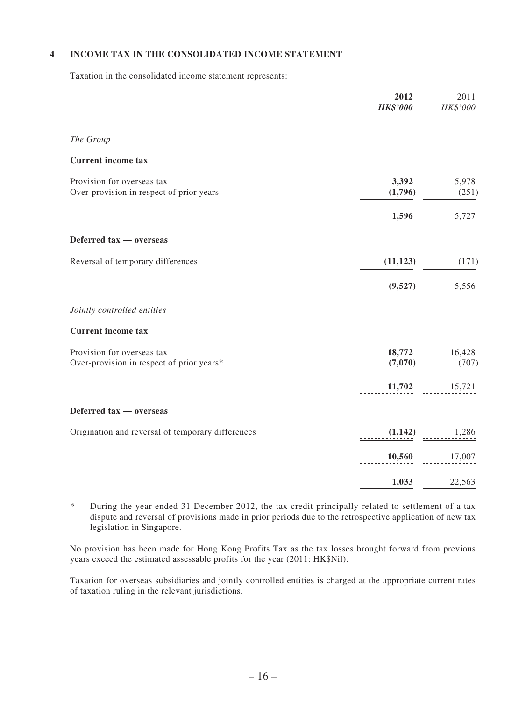### **4 INCOME TAX IN THE CONSOLIDATED INCOME STATEMENT**

Taxation in the consolidated income statement represents:

|                                                                         | 2012<br><b>HK\$'000</b> | 2011<br>HK\$'000 |
|-------------------------------------------------------------------------|-------------------------|------------------|
| The Group                                                               |                         |                  |
| <b>Current income tax</b>                                               |                         |                  |
| Provision for overseas tax<br>Over-provision in respect of prior years  | 3,392<br>(1,796)        | 5,978<br>(251)   |
|                                                                         | 1,596                   | 5,727            |
| Deferred tax - overseas                                                 |                         |                  |
| Reversal of temporary differences                                       | (11,123)                | $(171)$          |
|                                                                         |                         | $(9,527)$ 5,556  |
| Jointly controlled entities                                             |                         |                  |
| <b>Current income tax</b>                                               |                         |                  |
| Provision for overseas tax<br>Over-provision in respect of prior years* | 18,772<br>(7,070)       | 16,428<br>(707)  |
|                                                                         | 11,702                  | 15,721           |
| Deferred tax - overseas                                                 |                         |                  |
| Origination and reversal of temporary differences                       | (1,142)                 | 1,286            |
|                                                                         | 10,560<br>-----------   | 17,007           |
|                                                                         | 1,033                   | 22,563           |
|                                                                         |                         |                  |

\* During the year ended 31 December 2012, the tax credit principally related to settlement of a tax dispute and reversal of provisions made in prior periods due to the retrospective application of new tax legislation in Singapore.

No provision has been made for Hong Kong Profits Tax as the tax losses brought forward from previous years exceed the estimated assessable profits for the year (2011: HK\$Nil).

Taxation for overseas subsidiaries and jointly controlled entities is charged at the appropriate current rates of taxation ruling in the relevant jurisdictions.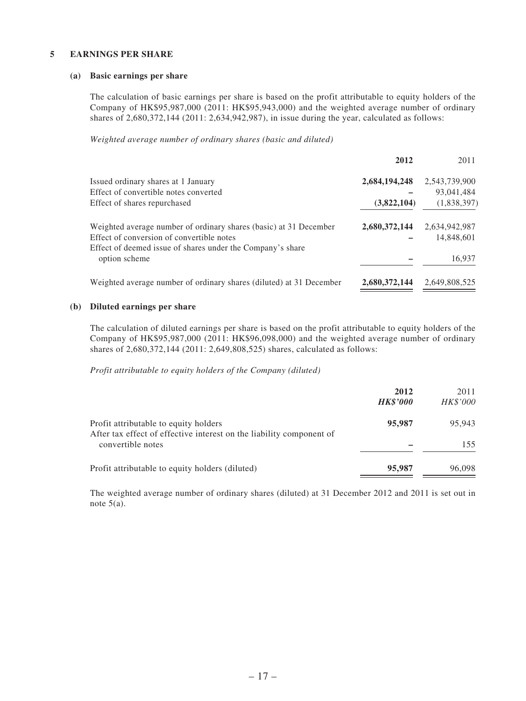### **5 EARNINGS PER SHARE**

#### **(a) Basic earnings per share**

The calculation of basic earnings per share is based on the profit attributable to equity holders of the Company of HK\$95,987,000 (2011: HK\$95,943,000) and the weighted average number of ordinary shares of 2,680,372,144 (2011: 2,634,942,987), in issue during the year, calculated as follows:

*Weighted average number of ordinary shares (basic and diluted)*

|                                                                     | 2012          | 2011          |
|---------------------------------------------------------------------|---------------|---------------|
| Issued ordinary shares at 1 January                                 | 2,684,194,248 | 2,543,739,900 |
| Effect of convertible notes converted                               |               | 93,041,484    |
| Effect of shares repurchased                                        | (3,822,104)   | (1,838,397)   |
| Weighted average number of ordinary shares (basic) at 31 December   | 2,680,372,144 | 2,634,942,987 |
| Effect of conversion of convertible notes                           |               | 14,848,601    |
| Effect of deemed issue of shares under the Company's share          |               |               |
| option scheme                                                       |               | 16,937        |
| Weighted average number of ordinary shares (diluted) at 31 December | 2,680,372,144 | 2,649,808,525 |

#### **(b) Diluted earnings per share**

The calculation of diluted earnings per share is based on the profit attributable to equity holders of the Company of HK\$95,987,000 (2011: HK\$96,098,000) and the weighted average number of ordinary shares of 2,680,372,144 (2011: 2,649,808,525) shares, calculated as follows:

*Profit attributable to equity holders of the Company (diluted)*

|                                                                                                               | 2012<br><b>HK\$'000</b> | 2011<br>HK\$'000 |
|---------------------------------------------------------------------------------------------------------------|-------------------------|------------------|
| Profit attributable to equity holders<br>After tax effect of effective interest on the liability component of | 95,987                  | 95,943           |
| convertible notes                                                                                             |                         | 155              |
| Profit attributable to equity holders (diluted)                                                               | 95,987                  | 96,098           |

The weighted average number of ordinary shares (diluted) at 31 December 2012 and 2011 is set out in note  $5(a)$ .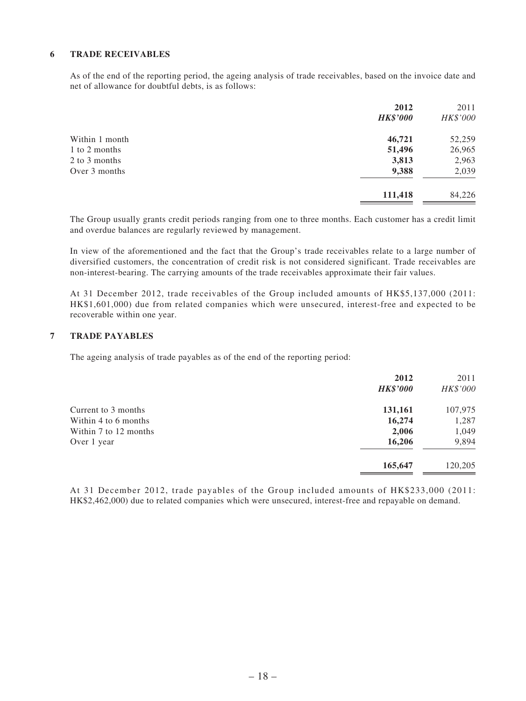#### **6 TRADE RECEIVABLES**

As of the end of the reporting period, the ageing analysis of trade receivables, based on the invoice date and net of allowance for doubtful debts, is as follows:

|                | 2012            | 2011     |
|----------------|-----------------|----------|
|                | <b>HK\$'000</b> | HK\$'000 |
| Within 1 month | 46,721          | 52,259   |
| 1 to 2 months  | 51,496          | 26,965   |
| 2 to 3 months  | 3,813           | 2,963    |
| Over 3 months  | 9,388           | 2,039    |
|                | 111,418         | 84,226   |
|                |                 |          |

The Group usually grants credit periods ranging from one to three months. Each customer has a credit limit and overdue balances are regularly reviewed by management.

In view of the aforementioned and the fact that the Group's trade receivables relate to a large number of diversified customers, the concentration of credit risk is not considered significant. Trade receivables are non-interest-bearing. The carrying amounts of the trade receivables approximate their fair values.

At 31 December 2012, trade receivables of the Group included amounts of HK\$5,137,000 (2011: HK\$1,601,000) due from related companies which were unsecured, interest-free and expected to be recoverable within one year.

#### **7 TRADE PAYABLES**

The ageing analysis of trade payables as of the end of the reporting period:

|                       | 2012<br><b>HK\$'000</b> | 2011<br>HK\$'000 |
|-----------------------|-------------------------|------------------|
| Current to 3 months   | 131,161                 | 107,975          |
| Within 4 to 6 months  | 16,274                  | 1,287            |
| Within 7 to 12 months | 2,006                   | 1,049            |
| Over 1 year           | 16,206                  | 9,894            |
|                       | 165,647                 | 120,205          |

At 31 December 2012, trade payables of the Group included amounts of HK\$233,000 (2011: HK\$2,462,000) due to related companies which were unsecured, interest-free and repayable on demand.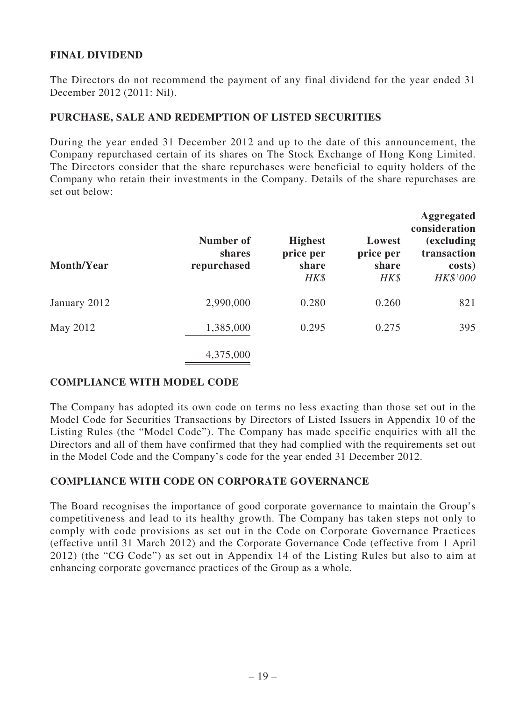## **FINAL DIVIDEND**

The Directors do not recommend the payment of any final dividend for the year ended 31 December 2012 (2011: Nil).

## **PURCHASE, SALE AND REDEMPTION OF LISTED SECURITIES**

During the year ended 31 December 2012 and up to the date of this announcement, the Company repurchased certain of its shares on The Stock Exchange of Hong Kong Limited. The Directors consider that the share repurchases were beneficial to equity holders of the Company who retain their investments in the Company. Details of the share repurchases are set out below:

| Month/Year   | Number of<br>shares<br>repurchased | <b>Highest</b><br>price per<br>share<br>HK\$ | Lowest<br>price per<br>share<br>HK\$ | <b>Aggregated</b><br>consideration<br><i>(excluding)</i><br>transaction<br>costs)<br>HK\$'000 |
|--------------|------------------------------------|----------------------------------------------|--------------------------------------|-----------------------------------------------------------------------------------------------|
| January 2012 | 2,990,000                          | 0.280                                        | 0.260                                | 821                                                                                           |
| May 2012     | 1,385,000                          | 0.295                                        | 0.275                                | 395                                                                                           |
|              | 4,375,000                          |                                              |                                      |                                                                                               |

## **COMPLIANCE WITH MODEL CODE**

The Company has adopted its own code on terms no less exacting than those set out in the Model Code for Securities Transactions by Directors of Listed Issuers in Appendix 10 of the Listing Rules (the "Model Code"). The Company has made specific enquiries with all the Directors and all of them have confirmed that they had complied with the requirements set out in the Model Code and the Company's code for the year ended 31 December 2012.

## **COMPLIANCE WITH CODE ON CORPORATE GOVERNANCE**

The Board recognises the importance of good corporate governance to maintain the Group's competitiveness and lead to its healthy growth. The Company has taken steps not only to comply with code provisions as set out in the Code on Corporate Governance Practices (effective until 31 March 2012) and the Corporate Governance Code (effective from 1 April 2012) (the "CG Code") as set out in Appendix 14 of the Listing Rules but also to aim at enhancing corporate governance practices of the Group as a whole.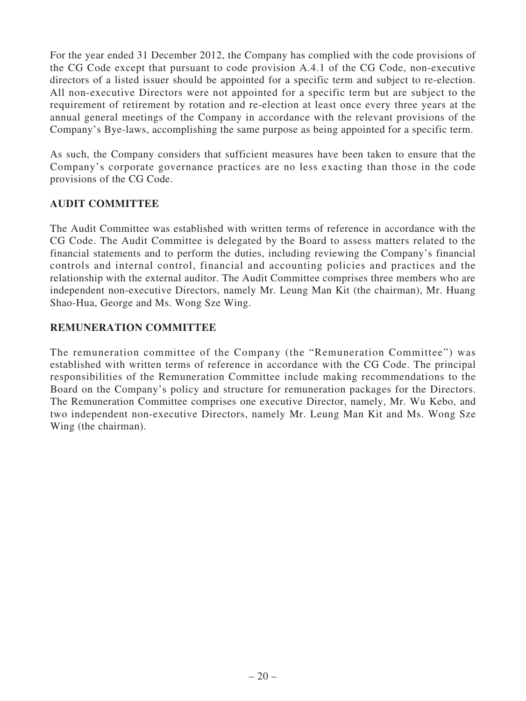For the year ended 31 December 2012, the Company has complied with the code provisions of the CG Code except that pursuant to code provision A.4.1 of the CG Code, non-executive directors of a listed issuer should be appointed for a specific term and subject to re-election. All non-executive Directors were not appointed for a specific term but are subject to the requirement of retirement by rotation and re-election at least once every three years at the annual general meetings of the Company in accordance with the relevant provisions of the Company's Bye-laws, accomplishing the same purpose as being appointed for a specific term.

As such, the Company considers that sufficient measures have been taken to ensure that the Company's corporate governance practices are no less exacting than those in the code provisions of the CG Code.

# **AUDIT COMMITTEE**

The Audit Committee was established with written terms of reference in accordance with the CG Code. The Audit Committee is delegated by the Board to assess matters related to the financial statements and to perform the duties, including reviewing the Company's financial controls and internal control, financial and accounting policies and practices and the relationship with the external auditor. The Audit Committee comprises three members who are independent non-executive Directors, namely Mr. Leung Man Kit (the chairman), Mr. Huang Shao-Hua, George and Ms. Wong Sze Wing.

# **REMUNERATION COMMITTEE**

The remuneration committee of the Company (the "Remuneration Committee") was established with written terms of reference in accordance with the CG Code. The principal responsibilities of the Remuneration Committee include making recommendations to the Board on the Company's policy and structure for remuneration packages for the Directors. The Remuneration Committee comprises one executive Director, namely, Mr. Wu Kebo, and two independent non-executive Directors, namely Mr. Leung Man Kit and Ms. Wong Sze Wing (the chairman).